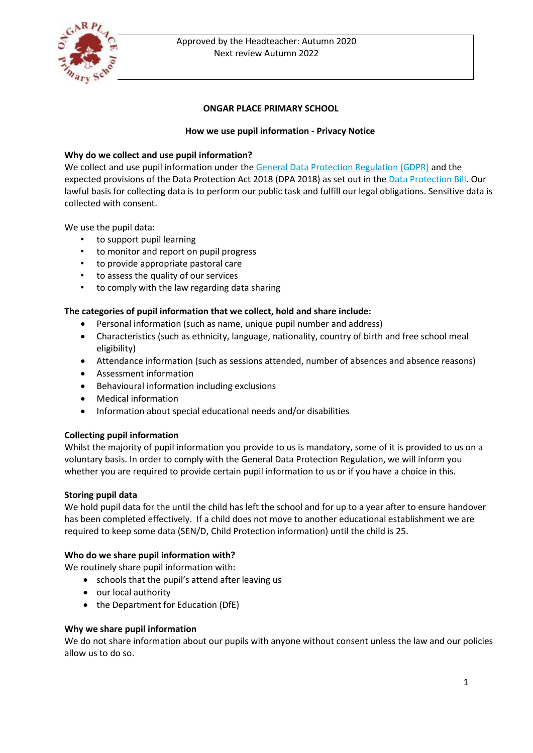

# Approved by the Headteacher: Autumn 2020 Next review Autumn 2022

# **ONGAR PLACE PRIMARY SCHOOL**

# **How we use pupil information - Privacy Notice**

# **Why do we collect and use pupil information?**

We collect and use pupil information under the [General Data Protection Regulation \(GDPR\)](http://data.consilium.europa.eu/doc/document/ST-5419-2016-INIT/en/pdf) and the expected provisions of the Data Protection Act 2018 (DPA 2018) as set out in the [Data Protection Bill.](https://publications.parliament.uk/pa/bills/cbill/2017-2019/0153/18153.pdf) Our lawful basis for collecting data is to perform our public task and fulfill our legal obligations. Sensitive data is collected with consent.

We use the pupil data:

- to support pupil learning
- to monitor and report on pupil progress
- to provide appropriate pastoral care
- to assess the quality of our services
- to comply with the law regarding data sharing

#### **The categories of pupil information that we collect, hold and share include:**

- Personal information (such as name, unique pupil number and address)
- Characteristics (such as ethnicity, language, nationality, country of birth and free school meal eligibility)
- Attendance information (such as sessions attended, number of absences and absence reasons)
- Assessment information
- Behavioural information including exclusions
- Medical information
- Information about special educational needs and/or disabilities

#### **Collecting pupil information**

Whilst the majority of pupil information you provide to us is mandatory, some of it is provided to us on a voluntary basis. In order to comply with the General Data Protection Regulation, we will inform you whether you are required to provide certain pupil information to us or if you have a choice in this.

#### **Storing pupil data**

We hold pupil data for the until the child has left the school and for up to a year after to ensure handover has been completed effectively. If a child does not move to another educational establishment we are required to keep some data (SEN/D, Child Protection information) until the child is 25.

#### **Who do we share pupil information with?**

We routinely share pupil information with:

- schools that the pupil's attend after leaving us
- our local authority
- the Department for Education (DfE)

#### **Why we share pupil information**

We do not share information about our pupils with anyone without consent unless the law and our policies allow us to do so.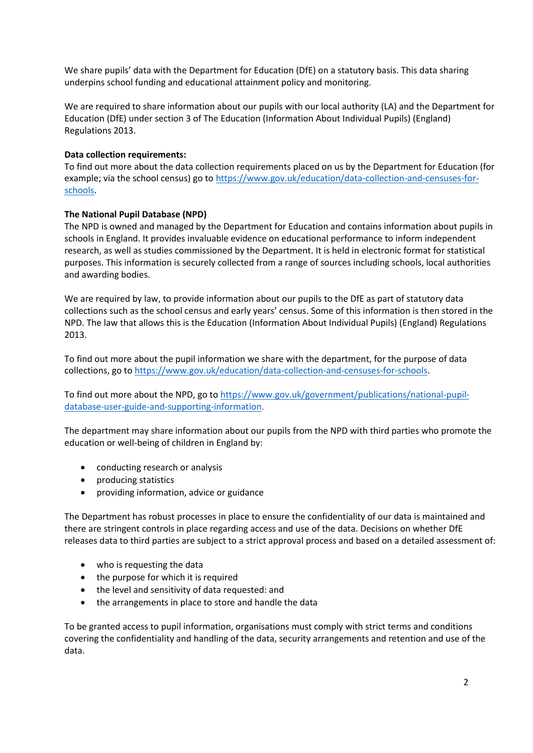We share pupils' data with the Department for Education (DfE) on a statutory basis. This data sharing underpins school funding and educational attainment policy and monitoring.

We are required to share information about our pupils with our local authority (LA) and the Department for Education (DfE) under section 3 of The Education (Information About Individual Pupils) (England) Regulations 2013.

## **Data collection requirements:**

To find out more about the data collection requirements placed on us by the Department for Education (for example; via the school census) go to [https://www.gov.uk/education/data-collection-and-censuses-for](https://www.gov.uk/education/data-collection-and-censuses-for-schools)[schools.](https://www.gov.uk/education/data-collection-and-censuses-for-schools)

# **The National Pupil Database (NPD)**

The NPD is owned and managed by the Department for Education and contains information about pupils in schools in England. It provides invaluable evidence on educational performance to inform independent research, as well as studies commissioned by the Department. It is held in electronic format for statistical purposes. This information is securely collected from a range of sources including schools, local authorities and awarding bodies.

We are required by law, to provide information about our pupils to the DfE as part of statutory data collections such as the school census and early years' census. Some of this information is then stored in the NPD. The law that allows this is the Education (Information About Individual Pupils) (England) Regulations 2013.

To find out more about the pupil information we share with the department, for the purpose of data collections, go t[o https://www.gov.uk/education/data-collection-and-censuses-for-schools.](https://www.gov.uk/education/data-collection-and-censuses-for-schools)

To find out more about the NPD, go to [https://www.gov.uk/government/publications/national-pupil](https://www.gov.uk/government/publications/national-pupil-database-user-guide-and-supporting-information)[database-user-guide-and-supporting-information.](https://www.gov.uk/government/publications/national-pupil-database-user-guide-and-supporting-information)

The department may share information about our pupils from the NPD with third parties who promote the education or well-being of children in England by:

- conducting research or analysis
- producing statistics
- providing information, advice or guidance

The Department has robust processes in place to ensure the confidentiality of our data is maintained and there are stringent controls in place regarding access and use of the data. Decisions on whether DfE releases data to third parties are subject to a strict approval process and based on a detailed assessment of:

- who is requesting the data
- the purpose for which it is required
- the level and sensitivity of data requested: and
- the arrangements in place to store and handle the data

To be granted access to pupil information, organisations must comply with strict terms and conditions covering the confidentiality and handling of the data, security arrangements and retention and use of the data.